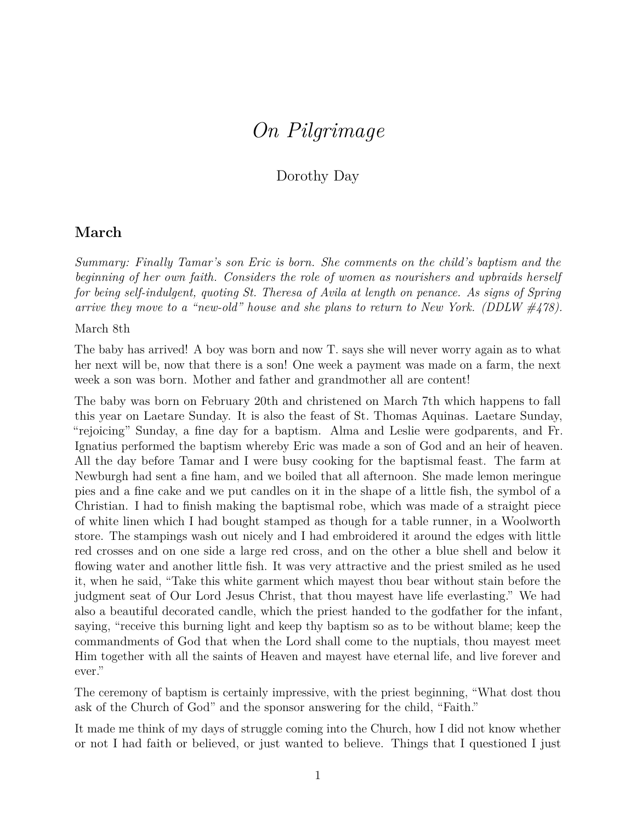# *On Pilgrimage*

## Dorothy Day

## **March**

*Summary: Finally Tamar's son Eric is born. She comments on the child's baptism and the beginning of her own faith. Considers the role of women as nourishers and upbraids herself for being self-indulgent, quoting St. Theresa of Avila at length on penance. As signs of Spring arrive they move to a "new-old" house and she plans to return to New York. (DDLW #478).*

March 8th

The baby has arrived! A boy was born and now T. says she will never worry again as to what her next will be, now that there is a son! One week a payment was made on a farm, the next week a son was born. Mother and father and grandmother all are content!

The baby was born on February 20th and christened on March 7th which happens to fall this year on Laetare Sunday. It is also the feast of St. Thomas Aquinas. Laetare Sunday, "rejoicing" Sunday, a fine day for a baptism. Alma and Leslie were godparents, and Fr. Ignatius performed the baptism whereby Eric was made a son of God and an heir of heaven. All the day before Tamar and I were busy cooking for the baptismal feast. The farm at Newburgh had sent a fine ham, and we boiled that all afternoon. She made lemon meringue pies and a fine cake and we put candles on it in the shape of a little fish, the symbol of a Christian. I had to finish making the baptismal robe, which was made of a straight piece of white linen which I had bought stamped as though for a table runner, in a Woolworth store. The stampings wash out nicely and I had embroidered it around the edges with little red crosses and on one side a large red cross, and on the other a blue shell and below it flowing water and another little fish. It was very attractive and the priest smiled as he used it, when he said, "Take this white garment which mayest thou bear without stain before the judgment seat of Our Lord Jesus Christ, that thou mayest have life everlasting." We had also a beautiful decorated candle, which the priest handed to the godfather for the infant, saying, "receive this burning light and keep thy baptism so as to be without blame; keep the commandments of God that when the Lord shall come to the nuptials, thou mayest meet Him together with all the saints of Heaven and mayest have eternal life, and live forever and ever."

The ceremony of baptism is certainly impressive, with the priest beginning, "What dost thou ask of the Church of God" and the sponsor answering for the child, "Faith."

It made me think of my days of struggle coming into the Church, how I did not know whether or not I had faith or believed, or just wanted to believe. Things that I questioned I just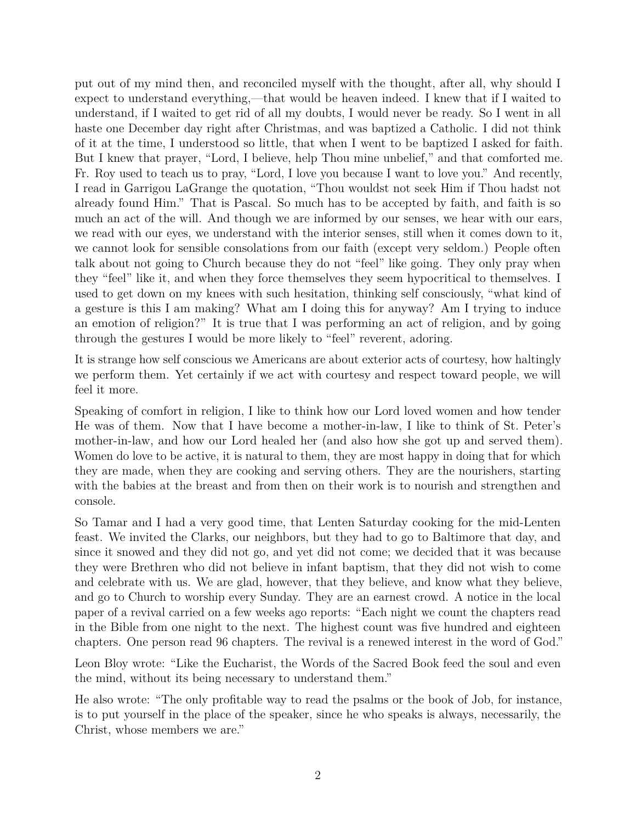put out of my mind then, and reconciled myself with the thought, after all, why should I expect to understand everything,—that would be heaven indeed. I knew that if I waited to understand, if I waited to get rid of all my doubts, I would never be ready. So I went in all haste one December day right after Christmas, and was baptized a Catholic. I did not think of it at the time, I understood so little, that when I went to be baptized I asked for faith. But I knew that prayer, "Lord, I believe, help Thou mine unbelief," and that comforted me. Fr. Roy used to teach us to pray, "Lord, I love you because I want to love you." And recently, I read in Garrigou LaGrange the quotation, "Thou wouldst not seek Him if Thou hadst not already found Him." That is Pascal. So much has to be accepted by faith, and faith is so much an act of the will. And though we are informed by our senses, we hear with our ears, we read with our eyes, we understand with the interior senses, still when it comes down to it, we cannot look for sensible consolations from our faith (except very seldom.) People often talk about not going to Church because they do not "feel" like going. They only pray when they "feel" like it, and when they force themselves they seem hypocritical to themselves. I used to get down on my knees with such hesitation, thinking self consciously, "what kind of a gesture is this I am making? What am I doing this for anyway? Am I trying to induce an emotion of religion?" It is true that I was performing an act of religion, and by going through the gestures I would be more likely to "feel" reverent, adoring.

It is strange how self conscious we Americans are about exterior acts of courtesy, how haltingly we perform them. Yet certainly if we act with courtesy and respect toward people, we will feel it more.

Speaking of comfort in religion, I like to think how our Lord loved women and how tender He was of them. Now that I have become a mother-in-law, I like to think of St. Peter's mother-in-law, and how our Lord healed her (and also how she got up and served them). Women do love to be active, it is natural to them, they are most happy in doing that for which they are made, when they are cooking and serving others. They are the nourishers, starting with the babies at the breast and from then on their work is to nourish and strengthen and console.

So Tamar and I had a very good time, that Lenten Saturday cooking for the mid-Lenten feast. We invited the Clarks, our neighbors, but they had to go to Baltimore that day, and since it snowed and they did not go, and yet did not come; we decided that it was because they were Brethren who did not believe in infant baptism, that they did not wish to come and celebrate with us. We are glad, however, that they believe, and know what they believe, and go to Church to worship every Sunday. They are an earnest crowd. A notice in the local paper of a revival carried on a few weeks ago reports: "Each night we count the chapters read in the Bible from one night to the next. The highest count was five hundred and eighteen chapters. One person read 96 chapters. The revival is a renewed interest in the word of God."

Leon Bloy wrote: "Like the Eucharist, the Words of the Sacred Book feed the soul and even the mind, without its being necessary to understand them."

He also wrote: "The only profitable way to read the psalms or the book of Job, for instance, is to put yourself in the place of the speaker, since he who speaks is always, necessarily, the Christ, whose members we are."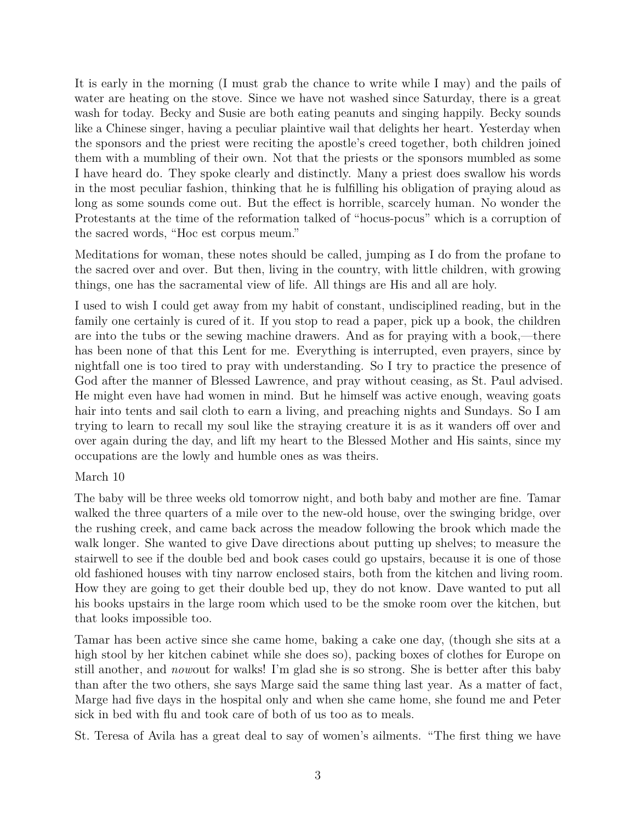It is early in the morning (I must grab the chance to write while I may) and the pails of water are heating on the stove. Since we have not washed since Saturday, there is a great wash for today. Becky and Susie are both eating peanuts and singing happily. Becky sounds like a Chinese singer, having a peculiar plaintive wail that delights her heart. Yesterday when the sponsors and the priest were reciting the apostle's creed together, both children joined them with a mumbling of their own. Not that the priests or the sponsors mumbled as some I have heard do. They spoke clearly and distinctly. Many a priest does swallow his words in the most peculiar fashion, thinking that he is fulfilling his obligation of praying aloud as long as some sounds come out. But the effect is horrible, scarcely human. No wonder the Protestants at the time of the reformation talked of "hocus-pocus" which is a corruption of the sacred words, "Hoc est corpus meum."

Meditations for woman, these notes should be called, jumping as I do from the profane to the sacred over and over. But then, living in the country, with little children, with growing things, one has the sacramental view of life. All things are His and all are holy.

I used to wish I could get away from my habit of constant, undisciplined reading, but in the family one certainly is cured of it. If you stop to read a paper, pick up a book, the children are into the tubs or the sewing machine drawers. And as for praying with a book,—there has been none of that this Lent for me. Everything is interrupted, even prayers, since by nightfall one is too tired to pray with understanding. So I try to practice the presence of God after the manner of Blessed Lawrence, and pray without ceasing, as St. Paul advised. He might even have had women in mind. But he himself was active enough, weaving goats hair into tents and sail cloth to earn a living, and preaching nights and Sundays. So I am trying to learn to recall my soul like the straying creature it is as it wanders off over and over again during the day, and lift my heart to the Blessed Mother and His saints, since my occupations are the lowly and humble ones as was theirs.

#### March 10

The baby will be three weeks old tomorrow night, and both baby and mother are fine. Tamar walked the three quarters of a mile over to the new-old house, over the swinging bridge, over the rushing creek, and came back across the meadow following the brook which made the walk longer. She wanted to give Dave directions about putting up shelves; to measure the stairwell to see if the double bed and book cases could go upstairs, because it is one of those old fashioned houses with tiny narrow enclosed stairs, both from the kitchen and living room. How they are going to get their double bed up, they do not know. Dave wanted to put all his books upstairs in the large room which used to be the smoke room over the kitchen, but that looks impossible too.

Tamar has been active since she came home, baking a cake one day, (though she sits at a high stool by her kitchen cabinet while she does so), packing boxes of clothes for Europe on still another, and *now*out for walks! I'm glad she is so strong. She is better after this baby than after the two others, she says Marge said the same thing last year. As a matter of fact, Marge had five days in the hospital only and when she came home, she found me and Peter sick in bed with flu and took care of both of us too as to meals.

St. Teresa of Avila has a great deal to say of women's ailments. "The first thing we have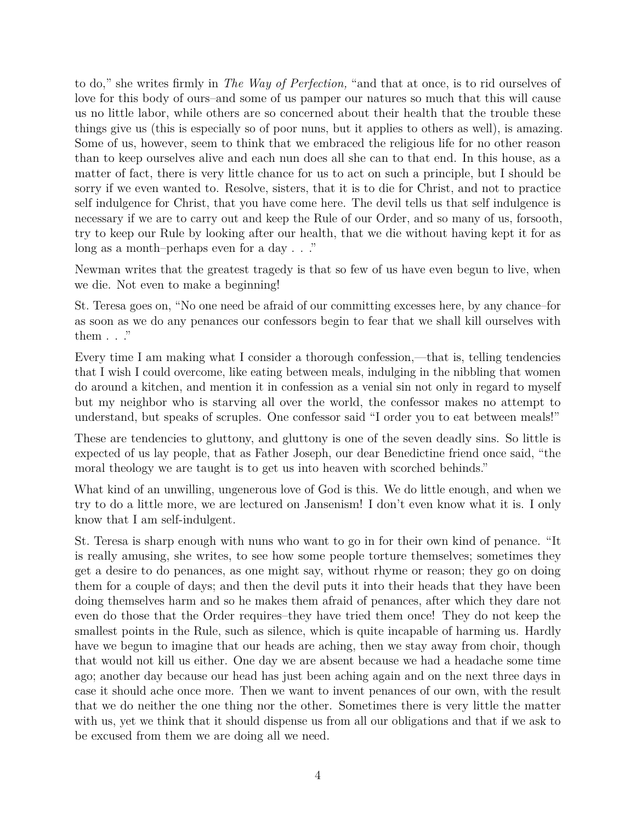to do," she writes firmly in *The Way of Perfection,* "and that at once, is to rid ourselves of love for this body of ours–and some of us pamper our natures so much that this will cause us no little labor, while others are so concerned about their health that the trouble these things give us (this is especially so of poor nuns, but it applies to others as well), is amazing. Some of us, however, seem to think that we embraced the religious life for no other reason than to keep ourselves alive and each nun does all she can to that end. In this house, as a matter of fact, there is very little chance for us to act on such a principle, but I should be sorry if we even wanted to. Resolve, sisters, that it is to die for Christ, and not to practice self indulgence for Christ, that you have come here. The devil tells us that self indulgence is necessary if we are to carry out and keep the Rule of our Order, and so many of us, forsooth, try to keep our Rule by looking after our health, that we die without having kept it for as long as a month–perhaps even for a day  $\ldots$ ."

Newman writes that the greatest tragedy is that so few of us have even begun to live, when we die. Not even to make a beginning!

St. Teresa goes on, "No one need be afraid of our committing excesses here, by any chance–for as soon as we do any penances our confessors begin to fear that we shall kill ourselves with them . . ."

Every time I am making what I consider a thorough confession,—that is, telling tendencies that I wish I could overcome, like eating between meals, indulging in the nibbling that women do around a kitchen, and mention it in confession as a venial sin not only in regard to myself but my neighbor who is starving all over the world, the confessor makes no attempt to understand, but speaks of scruples. One confessor said "I order you to eat between meals!"

These are tendencies to gluttony, and gluttony is one of the seven deadly sins. So little is expected of us lay people, that as Father Joseph, our dear Benedictine friend once said, "the moral theology we are taught is to get us into heaven with scorched behinds."

What kind of an unwilling, ungenerous love of God is this. We do little enough, and when we try to do a little more, we are lectured on Jansenism! I don't even know what it is. I only know that I am self-indulgent.

St. Teresa is sharp enough with nuns who want to go in for their own kind of penance. "It is really amusing, she writes, to see how some people torture themselves; sometimes they get a desire to do penances, as one might say, without rhyme or reason; they go on doing them for a couple of days; and then the devil puts it into their heads that they have been doing themselves harm and so he makes them afraid of penances, after which they dare not even do those that the Order requires–they have tried them once! They do not keep the smallest points in the Rule, such as silence, which is quite incapable of harming us. Hardly have we begun to imagine that our heads are aching, then we stay away from choir, though that would not kill us either. One day we are absent because we had a headache some time ago; another day because our head has just been aching again and on the next three days in case it should ache once more. Then we want to invent penances of our own, with the result that we do neither the one thing nor the other. Sometimes there is very little the matter with us, yet we think that it should dispense us from all our obligations and that if we ask to be excused from them we are doing all we need.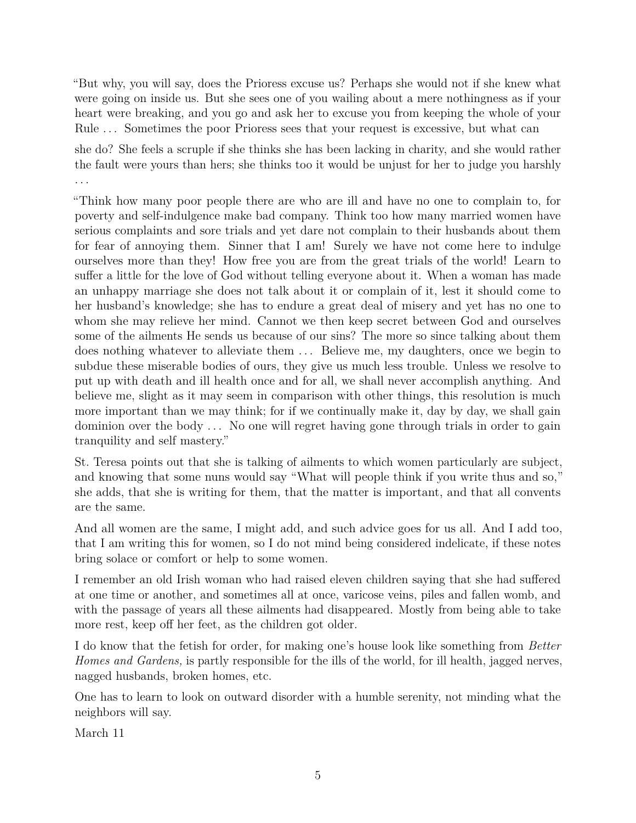"But why, you will say, does the Prioress excuse us? Perhaps she would not if she knew what were going on inside us. But she sees one of you wailing about a mere nothingness as if your heart were breaking, and you go and ask her to excuse you from keeping the whole of your Rule . . . Sometimes the poor Prioress sees that your request is excessive, but what can

she do? She feels a scruple if she thinks she has been lacking in charity, and she would rather the fault were yours than hers; she thinks too it would be unjust for her to judge you harshly . . .

"Think how many poor people there are who are ill and have no one to complain to, for poverty and self-indulgence make bad company. Think too how many married women have serious complaints and sore trials and yet dare not complain to their husbands about them for fear of annoying them. Sinner that I am! Surely we have not come here to indulge ourselves more than they! How free you are from the great trials of the world! Learn to suffer a little for the love of God without telling everyone about it. When a woman has made an unhappy marriage she does not talk about it or complain of it, lest it should come to her husband's knowledge; she has to endure a great deal of misery and yet has no one to whom she may relieve her mind. Cannot we then keep secret between God and ourselves some of the ailments He sends us because of our sins? The more so since talking about them does nothing whatever to alleviate them  $\dots$  Believe me, my daughters, once we begin to subdue these miserable bodies of ours, they give us much less trouble. Unless we resolve to put up with death and ill health once and for all, we shall never accomplish anything. And believe me, slight as it may seem in comparison with other things, this resolution is much more important than we may think; for if we continually make it, day by day, we shall gain dominion over the body . . . No one will regret having gone through trials in order to gain tranquility and self mastery."

St. Teresa points out that she is talking of ailments to which women particularly are subject, and knowing that some nuns would say "What will people think if you write thus and so," she adds, that she is writing for them, that the matter is important, and that all convents are the same.

And all women are the same, I might add, and such advice goes for us all. And I add too, that I am writing this for women, so I do not mind being considered indelicate, if these notes bring solace or comfort or help to some women.

I remember an old Irish woman who had raised eleven children saying that she had suffered at one time or another, and sometimes all at once, varicose veins, piles and fallen womb, and with the passage of years all these ailments had disappeared. Mostly from being able to take more rest, keep off her feet, as the children got older.

I do know that the fetish for order, for making one's house look like something from *Better Homes and Gardens,* is partly responsible for the ills of the world, for ill health, jagged nerves, nagged husbands, broken homes, etc.

One has to learn to look on outward disorder with a humble serenity, not minding what the neighbors will say.

March 11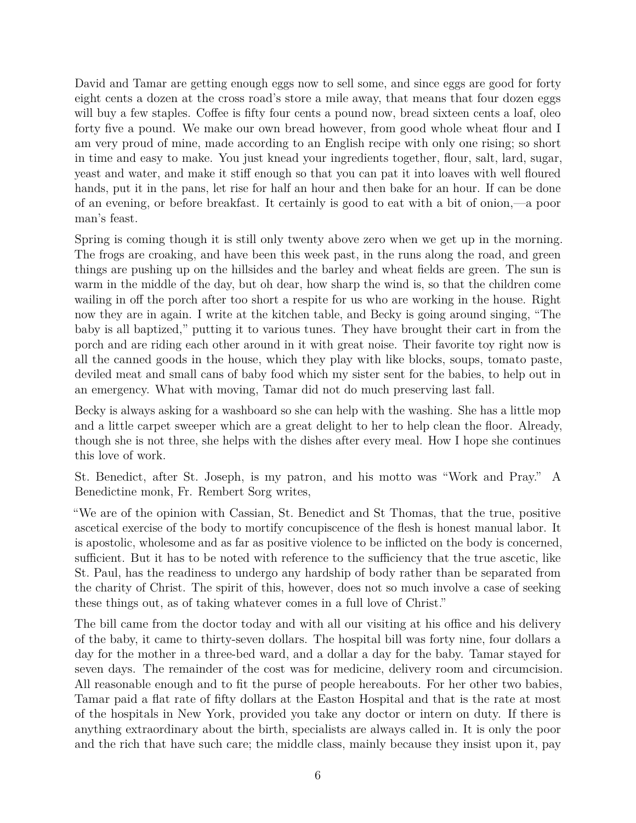David and Tamar are getting enough eggs now to sell some, and since eggs are good for forty eight cents a dozen at the cross road's store a mile away, that means that four dozen eggs will buy a few staples. Coffee is fifty four cents a pound now, bread sixteen cents a loaf, oleo forty five a pound. We make our own bread however, from good whole wheat flour and I am very proud of mine, made according to an English recipe with only one rising; so short in time and easy to make. You just knead your ingredients together, flour, salt, lard, sugar, yeast and water, and make it stiff enough so that you can pat it into loaves with well floured hands, put it in the pans, let rise for half an hour and then bake for an hour. If can be done of an evening, or before breakfast. It certainly is good to eat with a bit of onion,—a poor man's feast.

Spring is coming though it is still only twenty above zero when we get up in the morning. The frogs are croaking, and have been this week past, in the runs along the road, and green things are pushing up on the hillsides and the barley and wheat fields are green. The sun is warm in the middle of the day, but oh dear, how sharp the wind is, so that the children come wailing in off the porch after too short a respite for us who are working in the house. Right now they are in again. I write at the kitchen table, and Becky is going around singing, "The baby is all baptized," putting it to various tunes. They have brought their cart in from the porch and are riding each other around in it with great noise. Their favorite toy right now is all the canned goods in the house, which they play with like blocks, soups, tomato paste, deviled meat and small cans of baby food which my sister sent for the babies, to help out in an emergency. What with moving, Tamar did not do much preserving last fall.

Becky is always asking for a washboard so she can help with the washing. She has a little mop and a little carpet sweeper which are a great delight to her to help clean the floor. Already, though she is not three, she helps with the dishes after every meal. How I hope she continues this love of work.

St. Benedict, after St. Joseph, is my patron, and his motto was "Work and Pray." A Benedictine monk, Fr. Rembert Sorg writes,

"We are of the opinion with Cassian, St. Benedict and St Thomas, that the true, positive ascetical exercise of the body to mortify concupiscence of the flesh is honest manual labor. It is apostolic, wholesome and as far as positive violence to be inflicted on the body is concerned, sufficient. But it has to be noted with reference to the sufficiency that the true ascetic, like St. Paul, has the readiness to undergo any hardship of body rather than be separated from the charity of Christ. The spirit of this, however, does not so much involve a case of seeking these things out, as of taking whatever comes in a full love of Christ."

The bill came from the doctor today and with all our visiting at his office and his delivery of the baby, it came to thirty-seven dollars. The hospital bill was forty nine, four dollars a day for the mother in a three-bed ward, and a dollar a day for the baby. Tamar stayed for seven days. The remainder of the cost was for medicine, delivery room and circumcision. All reasonable enough and to fit the purse of people hereabouts. For her other two babies, Tamar paid a flat rate of fifty dollars at the Easton Hospital and that is the rate at most of the hospitals in New York, provided you take any doctor or intern on duty. If there is anything extraordinary about the birth, specialists are always called in. It is only the poor and the rich that have such care; the middle class, mainly because they insist upon it, pay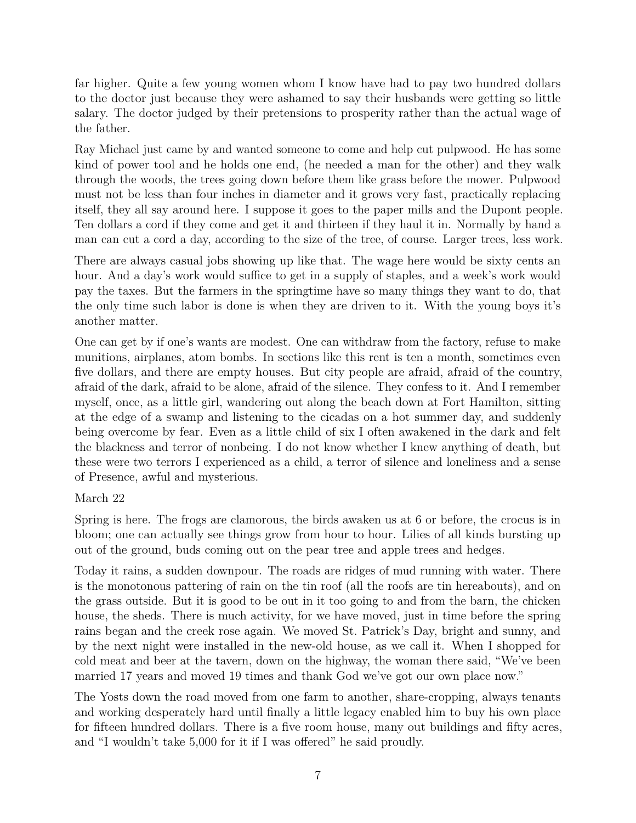far higher. Quite a few young women whom I know have had to pay two hundred dollars to the doctor just because they were ashamed to say their husbands were getting so little salary. The doctor judged by their pretensions to prosperity rather than the actual wage of the father.

Ray Michael just came by and wanted someone to come and help cut pulpwood. He has some kind of power tool and he holds one end, (he needed a man for the other) and they walk through the woods, the trees going down before them like grass before the mower. Pulpwood must not be less than four inches in diameter and it grows very fast, practically replacing itself, they all say around here. I suppose it goes to the paper mills and the Dupont people. Ten dollars a cord if they come and get it and thirteen if they haul it in. Normally by hand a man can cut a cord a day, according to the size of the tree, of course. Larger trees, less work.

There are always casual jobs showing up like that. The wage here would be sixty cents an hour. And a day's work would suffice to get in a supply of staples, and a week's work would pay the taxes. But the farmers in the springtime have so many things they want to do, that the only time such labor is done is when they are driven to it. With the young boys it's another matter.

One can get by if one's wants are modest. One can withdraw from the factory, refuse to make munitions, airplanes, atom bombs. In sections like this rent is ten a month, sometimes even five dollars, and there are empty houses. But city people are afraid, afraid of the country, afraid of the dark, afraid to be alone, afraid of the silence. They confess to it. And I remember myself, once, as a little girl, wandering out along the beach down at Fort Hamilton, sitting at the edge of a swamp and listening to the cicadas on a hot summer day, and suddenly being overcome by fear. Even as a little child of six I often awakened in the dark and felt the blackness and terror of nonbeing. I do not know whether I knew anything of death, but these were two terrors I experienced as a child, a terror of silence and loneliness and a sense of Presence, awful and mysterious.

### March 22

Spring is here. The frogs are clamorous, the birds awaken us at 6 or before, the crocus is in bloom; one can actually see things grow from hour to hour. Lilies of all kinds bursting up out of the ground, buds coming out on the pear tree and apple trees and hedges.

Today it rains, a sudden downpour. The roads are ridges of mud running with water. There is the monotonous pattering of rain on the tin roof (all the roofs are tin hereabouts), and on the grass outside. But it is good to be out in it too going to and from the barn, the chicken house, the sheds. There is much activity, for we have moved, just in time before the spring rains began and the creek rose again. We moved St. Patrick's Day, bright and sunny, and by the next night were installed in the new-old house, as we call it. When I shopped for cold meat and beer at the tavern, down on the highway, the woman there said, "We've been married 17 years and moved 19 times and thank God we've got our own place now."

The Yosts down the road moved from one farm to another, share-cropping, always tenants and working desperately hard until finally a little legacy enabled him to buy his own place for fifteen hundred dollars. There is a five room house, many out buildings and fifty acres, and "I wouldn't take 5,000 for it if I was offered" he said proudly.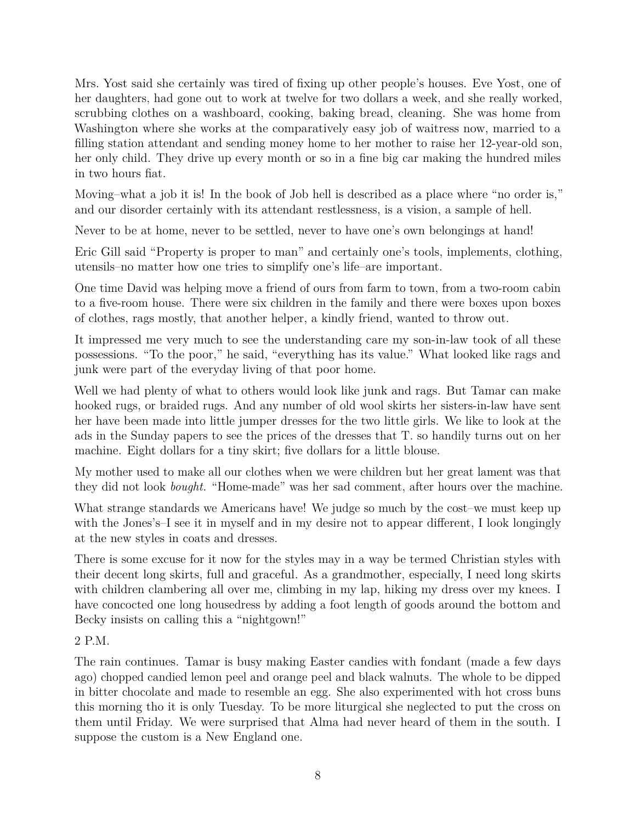Mrs. Yost said she certainly was tired of fixing up other people's houses. Eve Yost, one of her daughters, had gone out to work at twelve for two dollars a week, and she really worked, scrubbing clothes on a washboard, cooking, baking bread, cleaning. She was home from Washington where she works at the comparatively easy job of waitress now, married to a filling station attendant and sending money home to her mother to raise her 12-year-old son, her only child. They drive up every month or so in a fine big car making the hundred miles in two hours fiat.

Moving–what a job it is! In the book of Job hell is described as a place where "no order is," and our disorder certainly with its attendant restlessness, is a vision, a sample of hell.

Never to be at home, never to be settled, never to have one's own belongings at hand!

Eric Gill said "Property is proper to man" and certainly one's tools, implements, clothing, utensils–no matter how one tries to simplify one's life–are important.

One time David was helping move a friend of ours from farm to town, from a two-room cabin to a five-room house. There were six children in the family and there were boxes upon boxes of clothes, rags mostly, that another helper, a kindly friend, wanted to throw out.

It impressed me very much to see the understanding care my son-in-law took of all these possessions. "To the poor," he said, "everything has its value." What looked like rags and junk were part of the everyday living of that poor home.

Well we had plenty of what to others would look like junk and rags. But Tamar can make hooked rugs, or braided rugs. And any number of old wool skirts her sisters-in-law have sent her have been made into little jumper dresses for the two little girls. We like to look at the ads in the Sunday papers to see the prices of the dresses that T. so handily turns out on her machine. Eight dollars for a tiny skirt; five dollars for a little blouse.

My mother used to make all our clothes when we were children but her great lament was that they did not look *bought.* "Home-made" was her sad comment, after hours over the machine.

What strange standards we Americans have! We judge so much by the cost–we must keep up with the Jones's–I see it in myself and in my desire not to appear different, I look longingly at the new styles in coats and dresses.

There is some excuse for it now for the styles may in a way be termed Christian styles with their decent long skirts, full and graceful. As a grandmother, especially, I need long skirts with children clambering all over me, climbing in my lap, hiking my dress over my knees. I have concocted one long housedress by adding a foot length of goods around the bottom and Becky insists on calling this a "nightgown!"

2 P.M.

The rain continues. Tamar is busy making Easter candies with fondant (made a few days ago) chopped candied lemon peel and orange peel and black walnuts. The whole to be dipped in bitter chocolate and made to resemble an egg. She also experimented with hot cross buns this morning tho it is only Tuesday. To be more liturgical she neglected to put the cross on them until Friday. We were surprised that Alma had never heard of them in the south. I suppose the custom is a New England one.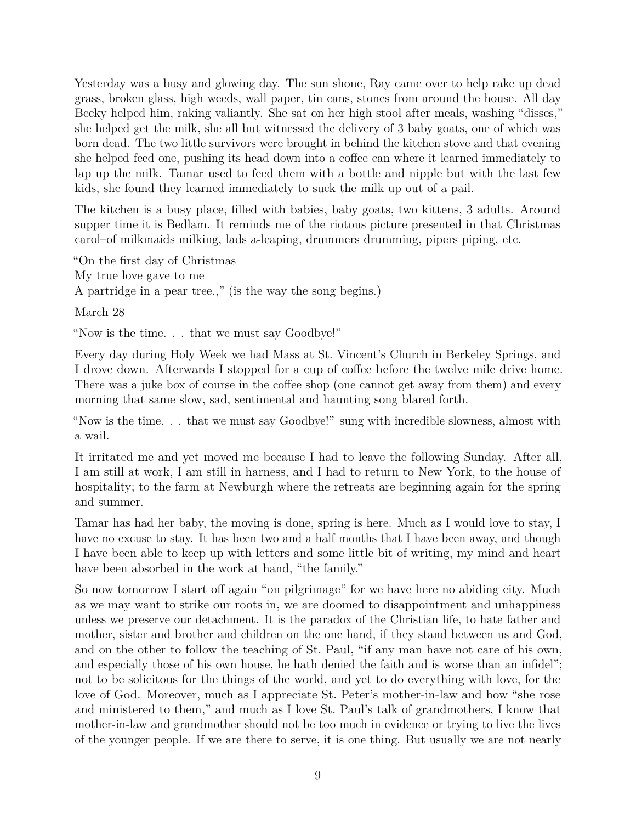Yesterday was a busy and glowing day. The sun shone, Ray came over to help rake up dead grass, broken glass, high weeds, wall paper, tin cans, stones from around the house. All day Becky helped him, raking valiantly. She sat on her high stool after meals, washing "disses," she helped get the milk, she all but witnessed the delivery of 3 baby goats, one of which was born dead. The two little survivors were brought in behind the kitchen stove and that evening she helped feed one, pushing its head down into a coffee can where it learned immediately to lap up the milk. Tamar used to feed them with a bottle and nipple but with the last few kids, she found they learned immediately to suck the milk up out of a pail.

The kitchen is a busy place, filled with babies, baby goats, two kittens, 3 adults. Around supper time it is Bedlam. It reminds me of the riotous picture presented in that Christmas carol–of milkmaids milking, lads a-leaping, drummers drumming, pipers piping, etc.

"On the first day of Christmas My true love gave to me A partridge in a pear tree.," (is the way the song begins.)

March 28

"Now is the time. . . that we must say Goodbye!"

Every day during Holy Week we had Mass at St. Vincent's Church in Berkeley Springs, and I drove down. Afterwards I stopped for a cup of coffee before the twelve mile drive home. There was a juke box of course in the coffee shop (one cannot get away from them) and every morning that same slow, sad, sentimental and haunting song blared forth.

"Now is the time. . . that we must say Goodbye!" sung with incredible slowness, almost with a wail.

It irritated me and yet moved me because I had to leave the following Sunday. After all, I am still at work, I am still in harness, and I had to return to New York, to the house of hospitality; to the farm at Newburgh where the retreats are beginning again for the spring and summer.

Tamar has had her baby, the moving is done, spring is here. Much as I would love to stay, I have no excuse to stay. It has been two and a half months that I have been away, and though I have been able to keep up with letters and some little bit of writing, my mind and heart have been absorbed in the work at hand, "the family."

So now tomorrow I start off again "on pilgrimage" for we have here no abiding city. Much as we may want to strike our roots in, we are doomed to disappointment and unhappiness unless we preserve our detachment. It is the paradox of the Christian life, to hate father and mother, sister and brother and children on the one hand, if they stand between us and God, and on the other to follow the teaching of St. Paul, "if any man have not care of his own, and especially those of his own house, he hath denied the faith and is worse than an infidel"; not to be solicitous for the things of the world, and yet to do everything with love, for the love of God. Moreover, much as I appreciate St. Peter's mother-in-law and how "she rose and ministered to them," and much as I love St. Paul's talk of grandmothers, I know that mother-in-law and grandmother should not be too much in evidence or trying to live the lives of the younger people. If we are there to serve, it is one thing. But usually we are not nearly